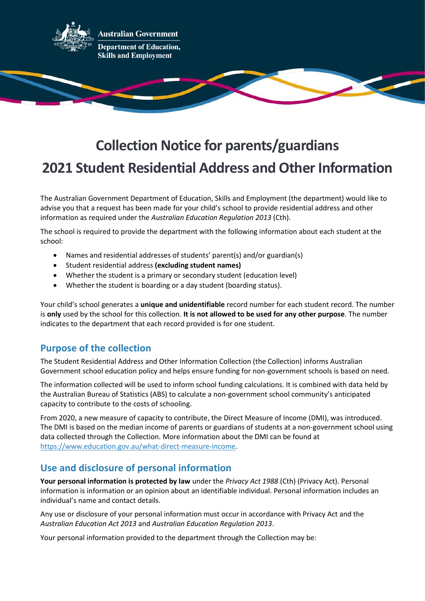

# **Collection Notice for parents/guardians 2021 Student Residential Address and Other Information**

The Australian Government Department of Education, Skills and Employment (the department) would like to advise you that a request has been made for your child's school to provide residential address and other information as required under the *Australian Education Regulation 2013* (Cth).

The school is required to provide the department with the following information about each student at the school:

- Names and residential addresses of students' parent(s) and/or guardian(s)
- Student residential address **(excluding student names)**
- Whether the student is a primary or secondary student (education level)
- Whether the student is boarding or a day student (boarding status).

Your child's school generates a **unique and unidentifiable** record number for each student record. The number is **only** used by the school for this collection. **It is not allowed to be used for any other purpose**. The number indicates to the department that each record provided is for one student.

## **Purpose of the collection**

The Student Residential Address and Other Information Collection (the Collection) informs Australian Government school education policy and helps ensure funding for non-government schools is based on need.

The information collected will be used to inform school funding calculations. It is combined with data held by the Australian Bureau of Statistics (ABS) to calculate a non-government school community's anticipated capacity to contribute to the costs of schooling.

From 2020, a new measure of capacity to contribute, the Direct Measure of Income (DMI), was introduced. The DMI is based on the median income of parents or guardians of students at a non-government school using data collected through the Collection. More information about the DMI can be found at [https://www.education.gov.au/what-direct-measure-income.](https://www.education.gov.au/what-direct-measure-income)

## **Use and disclosure of personal information**

**Your personal information is protected by law** under the *Privacy Act 1988* (Cth) (Privacy Act). Personal information is information or an opinion about an identifiable individual. Personal information includes an individual's name and contact details.

Any use or disclosure of your personal information must occur in accordance with Privacy Act and the *Australian Education Act 2013* and *Australian Education Regulation 2013*.

Your personal information provided to the department through the Collection may be: